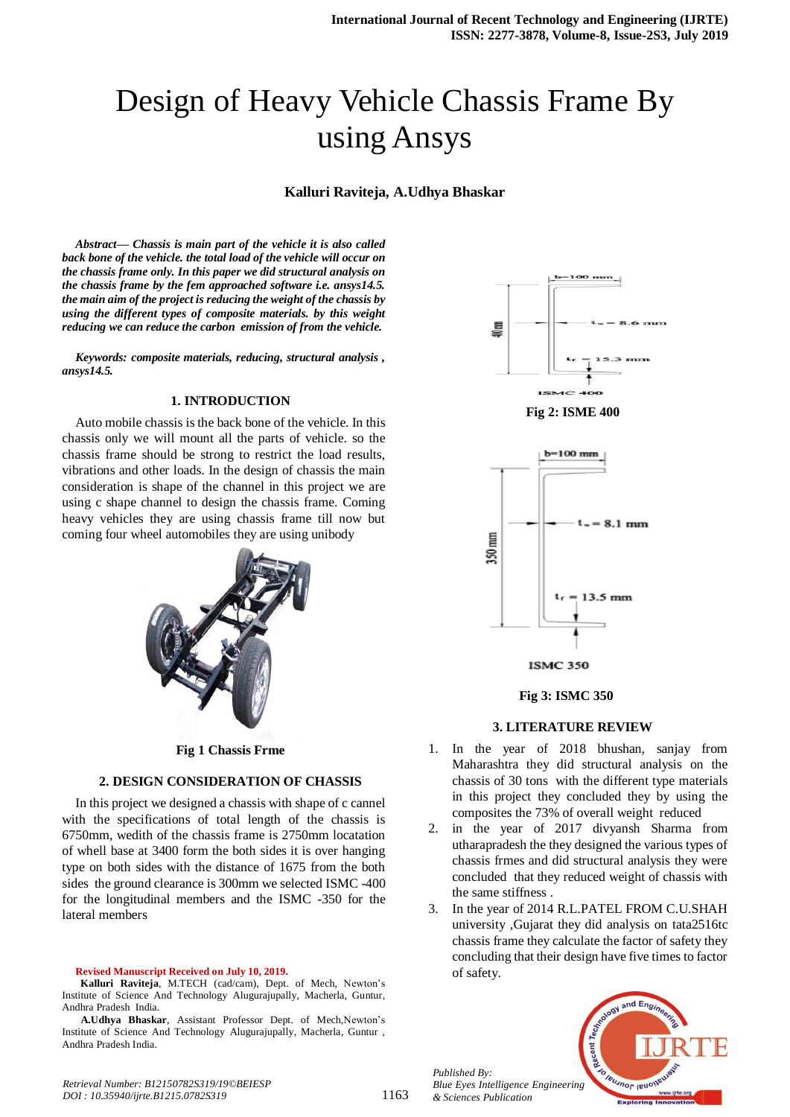# Design of Heavy Vehicle Chassis Frame By using Ansys

**Kalluri Raviteja, A.Udhya Bhaskar**

*Abstract***—** *Chassis is main part of the vehicle it is also called back bone of the vehicle. the total load of the vehicle will occur on the chassis frame only. In this paper we did structural analysis on the chassis frame by the fem approached software i.e. ansys14.5. the main aim of the project is reducing the weight of the chassis by using the different types of composite materials. by this weight reducing we can reduce the carbon emission of from the vehicle.*

*Keywords: composite materials, reducing, structural analysis , ansys14.5.*

#### **1. INTRODUCTION**

Auto mobile chassis is the back bone of the vehicle. In this chassis only we will mount all the parts of vehicle. so the chassis frame should be strong to restrict the load results, vibrations and other loads. In the design of chassis the main consideration is shape of the channel in this project we are using c shape channel to design the chassis frame. Coming heavy vehicles they are using chassis frame till now but coming four wheel automobiles they are using unibody



**Fig 1 Chassis Frme**

### **2. DESIGN CONSIDERATION OF CHASSIS**

In this project we designed a chassis with shape of c cannel with the specifications of total length of the chassis is 6750mm, wedith of the chassis frame is 2750mm locatation of whell base at 3400 form the both sides it is over hanging type on both sides with the distance of 1675 from the both sides the ground clearance is 300mm we selected ISMC -400 for the longitudinal members and the ISMC -350 for the lateral members

**Revised Manuscript Received on July 10, 2019.**







#### **Fig 3: ISMC 350**

#### **3. LITERATURE REVIEW**

- 1. In the year of 2018 bhushan, sanjay from Maharashtra they did structural analysis on the chassis of 30 tons with the different type materials in this project they concluded they by using the composites the 73% of overall weight reduced
- 2. in the year of 2017 divyansh Sharma from utharapradesh the they designed the various types of chassis frmes and did structural analysis they were concluded that they reduced weight of chassis with the same stiffness .
- 3. In the year of 2014 R.L.PATEL FROM C.U.SHAH university ,Gujarat they did analysis on tata2516tc chassis frame they calculate the factor of safety they concluding that their design have five times to factor of safety.



*Published By:*

*& Sciences Publication* 

**Kalluri Raviteja**, M.TECH (cad/cam), Dept. of Mech, Newton's Institute of Science And Technology Alugurajupally, Macherla, Guntur, Andhra Pradesh India.

**A.Udhya Bhaskar**, Assistant Professor Dept. of Mech,Newton's Institute of Science And Technology Alugurajupally, Macherla, Guntur , Andhra Pradesh India.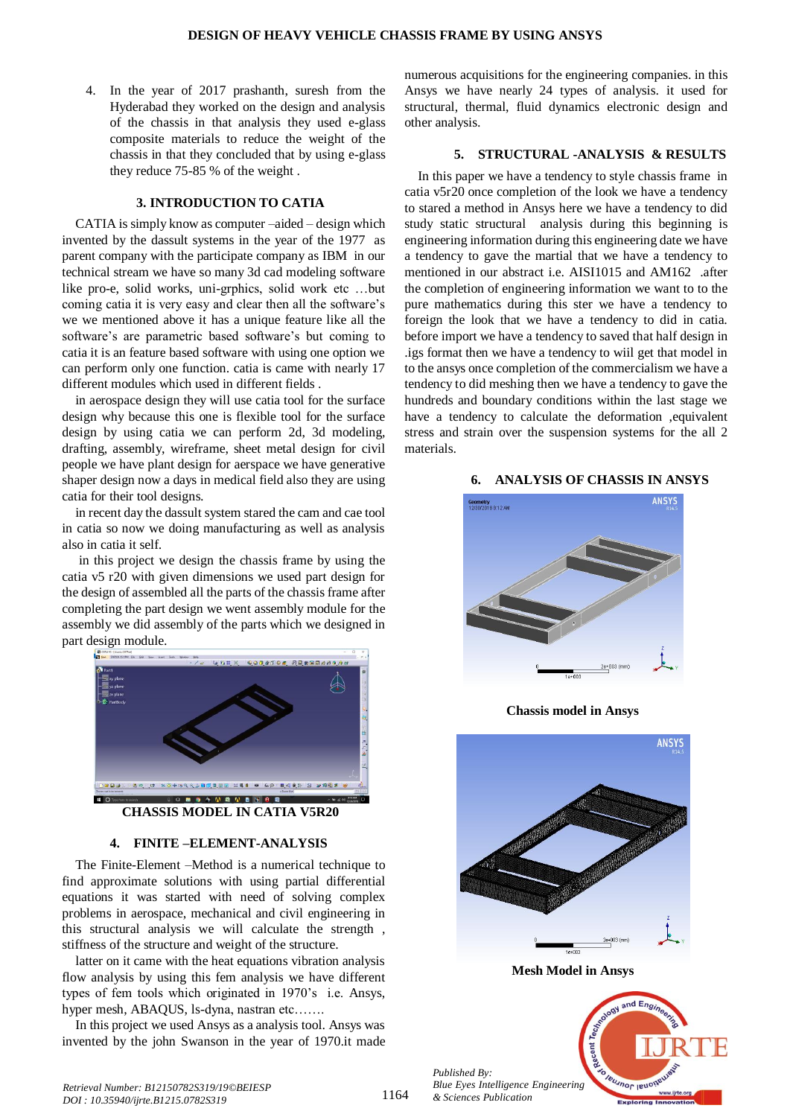4. In the year of 2017 prashanth, suresh from the Hyderabad they worked on the design and analysis of the chassis in that analysis they used e-glass composite materials to reduce the weight of the chassis in that they concluded that by using e-glass they reduce 75-85 % of the weight .

#### **3. INTRODUCTION TO CATIA**

CATIA is simply know as computer –aided – design which invented by the dassult systems in the year of the 1977 as parent company with the participate company as IBM in our technical stream we have so many 3d cad modeling software like pro-e, solid works, uni-grphics, solid work etc …but coming catia it is very easy and clear then all the software's we we mentioned above it has a unique feature like all the software's are parametric based software's but coming to catia it is an feature based software with using one option we can perform only one function. catia is came with nearly 17 different modules which used in different fields .

in aerospace design they will use catia tool for the surface design why because this one is flexible tool for the surface design by using catia we can perform 2d, 3d modeling, drafting, assembly, wireframe, sheet metal design for civil people we have plant design for aerspace we have generative shaper design now a days in medical field also they are using catia for their tool designs.

in recent day the dassult system stared the cam and cae tool in catia so now we doing manufacturing as well as analysis also in catia it self.

in this project we design the chassis frame by using the catia v5 r20 with given dimensions we used part design for the design of assembled all the parts of the chassis frame after completing the part design we went assembly module for the assembly we did assembly of the parts which we designed in part design module.



**CHASSIS MODEL IN CATIA V5R20**

### **4. FINITE –ELEMENT-ANALYSIS**

The Finite-Element –Method is a numerical technique to find approximate solutions with using partial differential equations it was started with need of solving complex problems in aerospace, mechanical and civil engineering in this structural analysis we will calculate the strength , stiffness of the structure and weight of the structure.

latter on it came with the heat equations vibration analysis flow analysis by using this fem analysis we have different types of fem tools which originated in 1970's i.e. Ansys, hyper mesh, ABAQUS, ls-dyna, nastran etc…….

In this project we used Ansys as a analysis tool. Ansys was invented by the john Swanson in the year of 1970.it made

numerous acquisitions for the engineering companies. in this Ansys we have nearly 24 types of analysis. it used for structural, thermal, fluid dynamics electronic design and other analysis.

#### **5. STRUCTURAL -ANALYSIS & RESULTS**

In this paper we have a tendency to style chassis frame in catia v5r20 once completion of the look we have a tendency to stared a method in Ansys here we have a tendency to did study static structural analysis during this beginning is engineering information during this engineering date we have a tendency to gave the martial that we have a tendency to mentioned in our abstract i.e. AISI1015 and AM162 .after the completion of engineering information we want to to the pure mathematics during this ster we have a tendency to foreign the look that we have a tendency to did in catia. before import we have a tendency to saved that half design in .igs format then we have a tendency to wiil get that model in to the ansys once completion of the commercialism we have a tendency to did meshing then we have a tendency to gave the hundreds and boundary conditions within the last stage we have a tendency to calculate the deformation ,equivalent stress and strain over the suspension systems for the all 2 materials.

#### **6. ANALYSIS OF CHASSIS IN ANSYS**



**Chassis model in Ansys**



**Mesh Model in Ansys**

*Published By: Blue Eyes Intelligence Engineering & Sciences Publication* 



*Retrieval Number: B12150782S319/19©BEIESP DOI : 10.35940/ijrte.B1215.0782S319*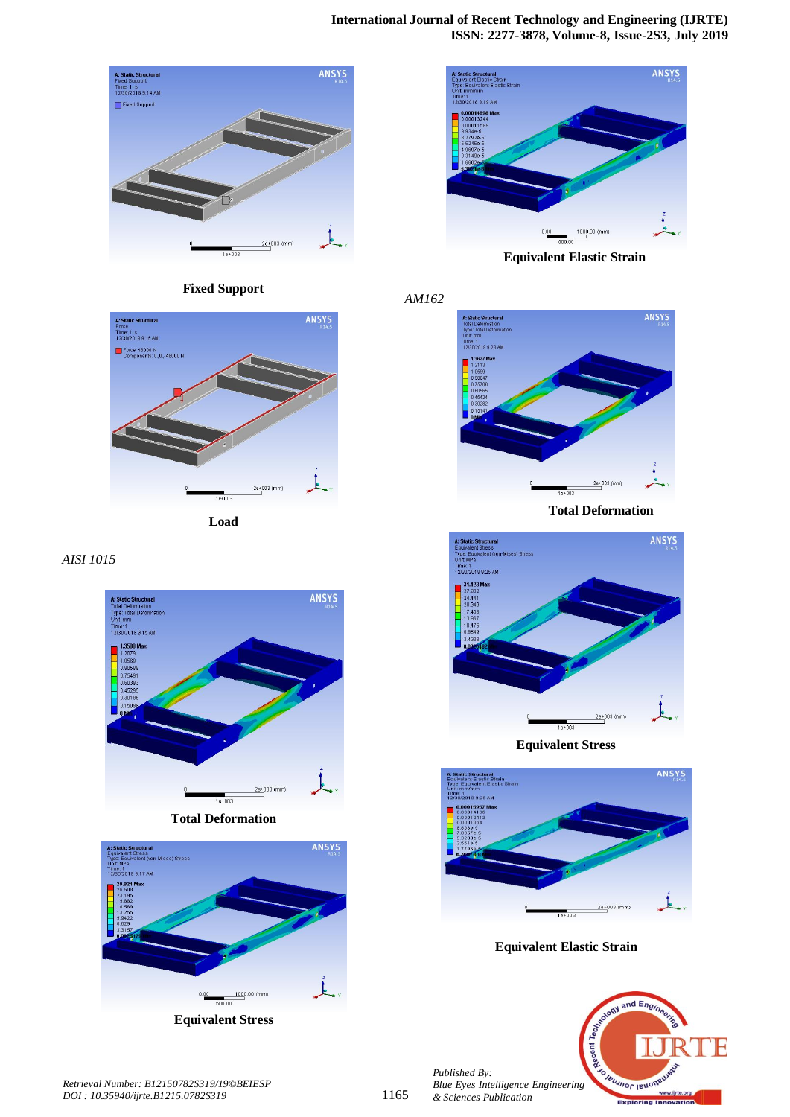







## *AISI 1015*



**Total Deformation**



**Equivalent Stress**



 **Equivalent Elastic Strain** 

*AM162*



 **Total Deformation**



**Equivalent Stress** 



**Equivalent Elastic Strain** 



*Published By: Blue Eyes Intelligence Engineering & Sciences Publication*